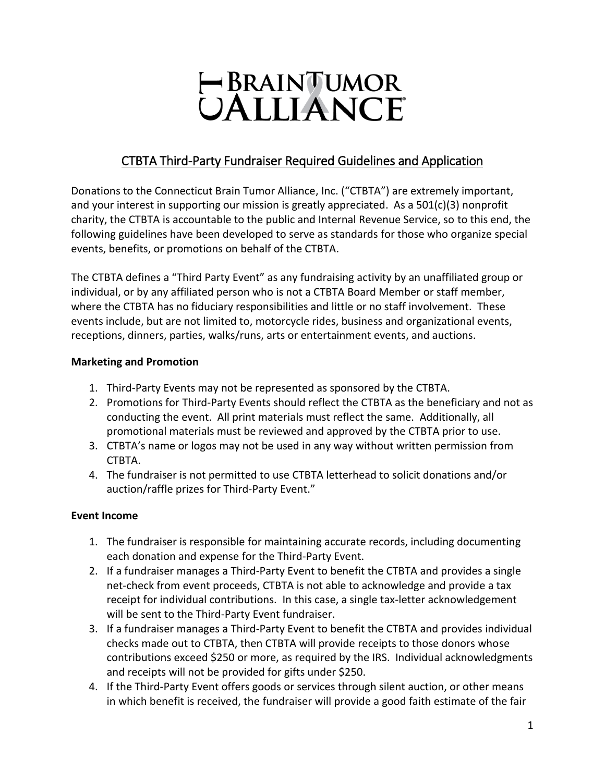# HBRAINTUMOR<br>UALLIANCE

## CTBTA Third-Party Fundraiser Required Guidelines and Application

Donations to the Connecticut Brain Tumor Alliance, Inc. ("CTBTA") are extremely important, and your interest in supporting our mission is greatly appreciated. As a 501(c)(3) nonprofit charity, the CTBTA is accountable to the public and Internal Revenue Service, so to this end, the following guidelines have been developed to serve as standards for those who organize special events, benefits, or promotions on behalf of the CTBTA.

The CTBTA defines a "Third Party Event" as any fundraising activity by an unaffiliated group or individual, or by any affiliated person who is not a CTBTA Board Member or staff member, where the CTBTA has no fiduciary responsibilities and little or no staff involvement. These events include, but are not limited to, motorcycle rides, business and organizational events, receptions, dinners, parties, walks/runs, arts or entertainment events, and auctions.

#### **Marketing and Promotion**

- 1. Third-Party Events may not be represented as sponsored by the CTBTA.
- 2. Promotions for Third-Party Events should reflect the CTBTA as the beneficiary and not as conducting the event. All print materials must reflect the same. Additionally, all promotional materials must be reviewed and approved by the CTBTA prior to use.
- 3. CTBTA's name or logos may not be used in any way without written permission from CTBTA.
- 4. The fundraiser is not permitted to use CTBTA letterhead to solicit donations and/or auction/raffle prizes for Third-Party Event."

### **Event Income**

- 1. The fundraiser is responsible for maintaining accurate records, including documenting each donation and expense for the Third-Party Event.
- 2. If a fundraiser manages a Third-Party Event to benefit the CTBTA and provides a single net-check from event proceeds, CTBTA is not able to acknowledge and provide a tax receipt for individual contributions. In this case, a single tax-letter acknowledgement will be sent to the Third-Party Event fundraiser.
- 3. If a fundraiser manages a Third-Party Event to benefit the CTBTA and provides individual checks made out to CTBTA, then CTBTA will provide receipts to those donors whose contributions exceed \$250 or more, as required by the IRS. Individual acknowledgments and receipts will not be provided for gifts under \$250.
- 4. If the Third-Party Event offers goods or services through silent auction, or other means in which benefit is received, the fundraiser will provide a good faith estimate of the fair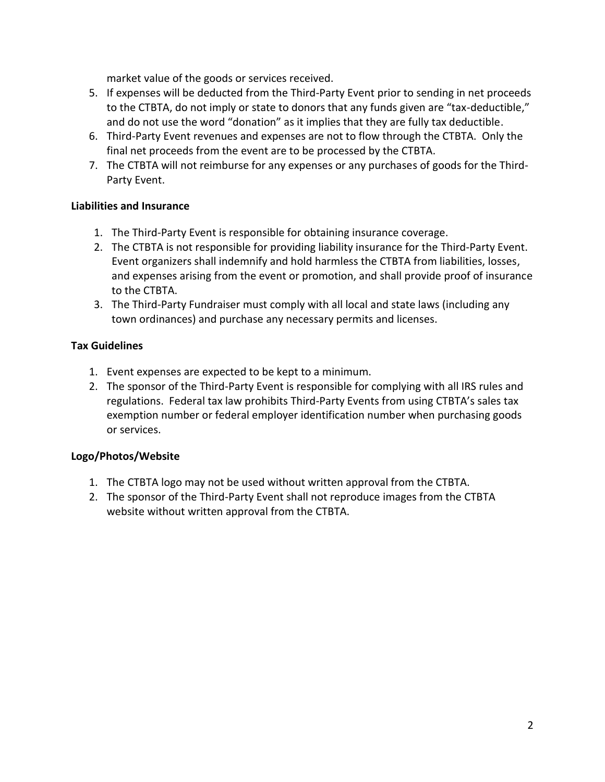market value of the goods or services received.

- 5. If expenses will be deducted from the Third-Party Event prior to sending in net proceeds to the CTBTA, do not imply or state to donors that any funds given are "tax-deductible," and do not use the word "donation" as it implies that they are fully tax deductible.
- 6. Third-Party Event revenues and expenses are not to flow through the CTBTA. Only the final net proceeds from the event are to be processed by the CTBTA.
- 7. The CTBTA will not reimburse for any expenses or any purchases of goods for the Third-Party Event.

### **Liabilities and Insurance**

- 1. The Third-Party Event is responsible for obtaining insurance coverage.
- 2. The CTBTA is not responsible for providing liability insurance for the Third-Party Event. Event organizers shall indemnify and hold harmless the CTBTA from liabilities, losses, and expenses arising from the event or promotion, and shall provide proof of insurance to the CTBTA.
- 3. The Third-Party Fundraiser must comply with all local and state laws (including any town ordinances) and purchase any necessary permits and licenses.

### **Tax Guidelines**

- 1. Event expenses are expected to be kept to a minimum.
- 2. The sponsor of the Third-Party Event is responsible for complying with all IRS rules and regulations. Federal tax law prohibits Third-Party Events from using CTBTA's sales tax exemption number or federal employer identification number when purchasing goods or services.

### **Logo/Photos/Website**

- 1. The CTBTA logo may not be used without written approval from the CTBTA.
- 2. The sponsor of the Third-Party Event shall not reproduce images from the CTBTA website without written approval from the CTBTA.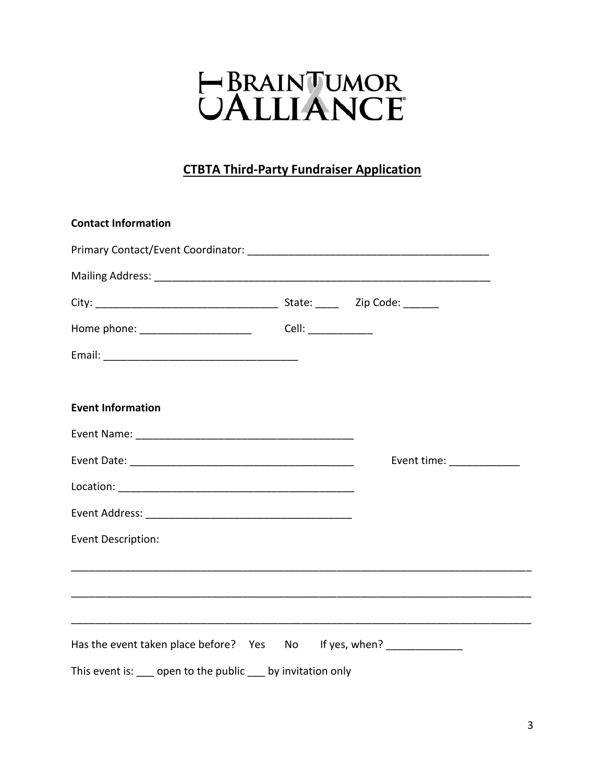# HERAINTUMOR<br>UALLIANCE

## **CTBTA Third-Party Fundraiser Application**

| <b>Contact Information</b>                                           |                           |
|----------------------------------------------------------------------|---------------------------|
|                                                                      |                           |
|                                                                      |                           |
|                                                                      |                           |
|                                                                      |                           |
|                                                                      |                           |
|                                                                      |                           |
| <b>Event Information</b>                                             |                           |
|                                                                      |                           |
|                                                                      | Event time: _____________ |
|                                                                      |                           |
|                                                                      |                           |
| Event Description:                                                   |                           |
|                                                                      |                           |
|                                                                      |                           |
| Has the event taken place before? Yes No If yes, when? _____________ |                           |
| This event is: open to the public by invitation only                 |                           |